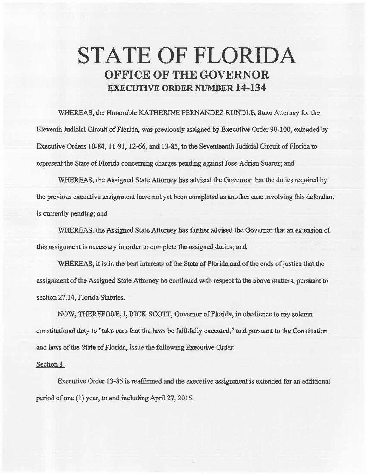## **STATE OF FLORIDA OFFICE OF THE GOVERNOR EXECUTIVE ORDER NUMBER 14-134**

WHEREAS, the Honorable KATHERINE FERNANDEZ RUNDLE, State Attorney for the Eleventh Judicial Circuit of Florida, was previously assigned by Executive Order 90-100, extended by Executive Orders 10-84, 11-91, 12-66, and 13-85, to the Seventeenth Judicial Circuit of Florida to represent the State of Florida concerning charges pending against Jose Adrian Suarez; and

WHEREAS, the Assigned State Attorney has advised the Governor that the duties required by the previous executive assignment have not yet been completed as another case involving this defendant is currently pending; and

WHEREAS, the Assigned State Attorney has further advised the Governor that an extension of this assignment is necessary in order to complete the assigned duties; and

WHEREAS, it is in the best interests of the State of Florida and of the ends of justice that the assignment of the Assigned State Attorney be continued with respect to the above matters, pursuant to section 27.14, Florida Statutes.

NOW, THEREFORE, I, RICK SCOIT, Govemor of Florida, in obedience to my solemn constitutional duty to "take care that the laws be faithfully executed," and pursuant to the Constitution and laws of the State of Florida, issue the following Executive Order:

## Section l.

Executive Order 13-85 is reaffirmed and the executive assignment is extended for an additional period of one (1) year, to and including April 27, 2015.